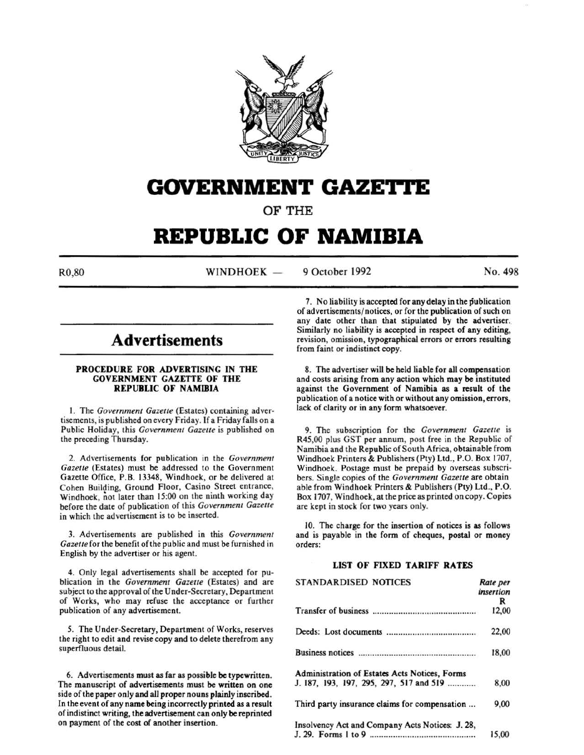

# **GOVERNMENT GAZETTE**

OF THE

# **REPUBLIC OF NAMIBIA**

 $R0.80$  WINDHOEK  $-$ 

9 October 1992 No. 498

# **Advertisements**

### PROCEDURE FOR ADVERTISING IN THE GOVERNMENT GAZETTE OF THE REPUBLIC OF NAMIBIA

I. The *Government Gazette* (Estates) containing advertisements, is published on every Friday. If a Friday falls on a Public Holiday, this *Government Gazette* is published on the preceding Thursday.

2. Advertisements for publication in the *Government Gazelle* (Estates) must be addressed to the Government Gazette Office, P.B. 13348, Windhoek, or be delivered at Cohen Building, Ground Floor, Casino Street entrance, Windhoek, not later than 15:00 on the ninth working day before the date of publication of this *Government Gazelle*  in which the advertisement is to be inserted.

3. Advertisements are published in this *Government*  Gazette for the benefit of the public and must be furnished in English by the advertiser or his agent.

4. Only legal advertisements shall be accepted for publication in the *Government Gazelle* (Estates) and are subject to the approval of the Under-Secretary, Department of Works, who may refuse the acceptance or further publication of any advertisement.

5. The Under-Secretary, Department of Works, reserves the right to edit and revise copy and to delete therefrom any superfluous detail.

6. Advertisements must as far as possible be typewritten. The manuscript of advertisements must be written on one side of the paper only and all proper nouns plainly inscribed. In the event of any name being incorrectly printed as a result of indistinct writing, the advertisement can only be reprinted on payment of the cost of another insertion.

7. No liability is accepted for any delay in the publication of advertisements/ notices, or for the publication of such on any date other than that stipulated by the advertiser. Similarly no liability is accepted in respect of any editing, revision, omission, typographical errors or errors resulting from faint or indistinct copy.

8. The advertiser will be held liable for all compensation and costs arising from any action which may be instituted against the Government of Namibia as a result of the publication of a notice with or without any omission, errors, lack of clarity or in any form whatsoever.

9. The subscription for the *Government Gazelle* is R45,00 plus GST per annum, post free in the Republic of Namibia and the Republic of South Africa, obtainable from Windhoek Printers & Publishers (Pty) Ltd., P.O. Box 1707, Windhoek. Postage must be prepaid by overseas subscribers. Single copies of the *Government Gazelle* are obtain able from Windhoek Printers & Publishers (Pty) Ltd., P.O. Box 1707, Windhoek, at the price as printed on copy. Copies are kept in stock for two years only.

10. The charge for the insertion of notices is as follows and is payable in the form of cheques, postal or money orders:

# LIST OF FIXED TARIFF RATES

| <b>STANDARDISED NOTICES</b>                     | Rate per<br>insertion |
|-------------------------------------------------|-----------------------|
|                                                 | R                     |
|                                                 | 12,00                 |
|                                                 | 22,00                 |
|                                                 | 18,00                 |
| Administration of Estates Acts Notices, Forms   |                       |
| J. 187, 193, 197, 295, 297, 517 and 519         | 8,00                  |
| Third party insurance claims for compensation   | 9,00                  |
| Insolvency Act and Company Acts Notices: J. 28, |                       |
|                                                 | 15,00                 |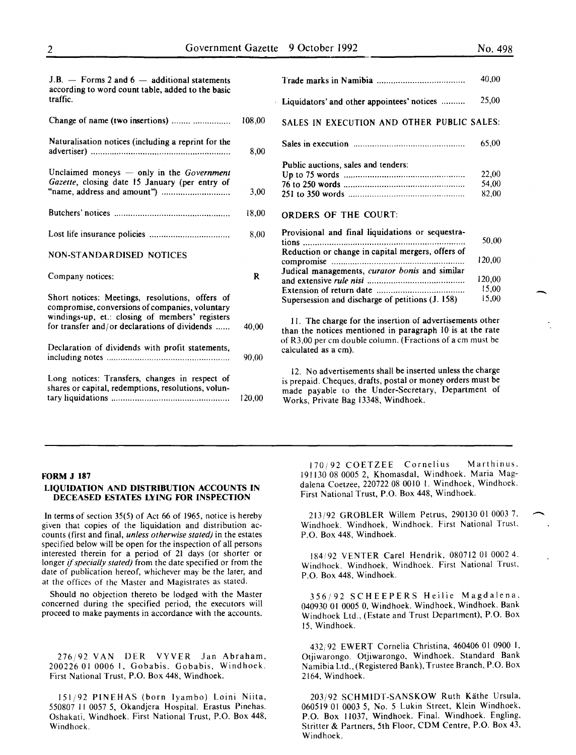-

| $J.B.$ - Forms 2 and 6 - additional statements<br>according to word count table, added to the basic<br>traffic.                                                                                        |        |
|--------------------------------------------------------------------------------------------------------------------------------------------------------------------------------------------------------|--------|
| Change of name (two insertions)                                                                                                                                                                        | 108,00 |
| Naturalisation notices (including a reprint for the                                                                                                                                                    | 8,00   |
| Unclaimed moneys - only in the Government<br>Gazette, closing date 15 January (per entry of                                                                                                            | 3,00   |
|                                                                                                                                                                                                        | 18,00  |
|                                                                                                                                                                                                        | 8,00   |
| <b>NON-STANDARDISED NOTICES</b>                                                                                                                                                                        |        |
| Company notices:                                                                                                                                                                                       | R      |
| Short notices: Meetings, resolutions, offers of<br>compromise, conversions of companies, voluntary<br>windings-up, et.: closing of members' registers<br>for transfer and/or declarations of dividends | 40,00  |
| Declaration of dividends with profit statements.                                                                                                                                                       | 90,00  |
| Long notices: Transfers, changes in respect of<br>shares or capital, redemptions, resolutions, volun-                                                                                                  | 120,00 |

|                                                   | 40,00  |
|---------------------------------------------------|--------|
| Liquidators' and other appointees' notices        | 25,00  |
| SALES IN EXECUTION AND OTHER PUBLIC SALES:        |        |
|                                                   | 65,00  |
| Public auctions, sales and tenders:               |        |
|                                                   | 22,00  |
|                                                   | 54,00  |
|                                                   | 82,00  |
| <b>ORDERS OF THE COURT:</b>                       |        |
| Provisional and final liquidations or sequestra-  |        |
| tions                                             | 50,00  |
| Reduction or change in capital mergers, offers of |        |
| compromise                                        | 120,00 |
| Judical managements, curator bonis and similar    |        |
|                                                   | 120,00 |
|                                                   | 15,00  |
| Supersession and discharge of petitions (J. 158)  | 15,00  |

II. The charge for the insertion of advertisements other than the notices mentioned in paragraph 10 is at the rate of R3,00 per em double column. (Fractions of a em must be calculated as a em).

12. No advertisements shall be inserted unless the charge is prepaid. Cheques, drafts, postal or money orders must be made payable to the Under-Secretary, Department of Works, Private Bag 13348, Windhoek.

#### FORM J 187

#### LIQUIDATION AND DISTRIBUTION ACCOUNTS IN DECEASED ESTATES LYING FOR INSPECTION

In terms of section 35(5) of Act 66 of 1965, notice is hereby given that copies of the liquidation and distribution accounts (first and final, *unless otherwise stated)* in the estates specified below will be open for the inspection of all persons interested therein for a period of 21 days (or shorter or longer if *specially stated)* from the date specified or from the date of publication hereof, whichever may be the later, and at the offices of the Master and Magistrates as stated.

Should no objection thereto be lodged with the Master concerned during the specified period, the executors will proceed to make payments in accordance with the accounts.

276/92 VAN DER YYVER Jan Abraham, 200226 01 0006 1. Gobabis, Gobabis, Windhoek. First National Trust, P.O. Box 448, Windhoek.

151/92 PINEHAS (born lyambo) Loini Niita, 550807 II 0057 5, Okandjera Hospital. Erastus Pinehas. Oshakati, Windhoek. First National Trust, P.O. Box 448, Windhoek.

170; 92 COETZEE Cornelius Marthinus. 191130 08 0005 2, Khomasdal, Windhoek. Maria Magdalena Coetzee, 220722 08 0010 I. Windhoek, Windhoek. First National Trust, P.O. Box 448, Windhoek.

213/92 GROBLER Willem Petrus, 290130 01 0003 7, Windhoek. Windhoek, Windhoek. First National Trust. P.O. Box 448, Windhoek.

184192 VENTER Carel Hendrik, 080712 01 0002 4. Windhoek. Windhoek, Windhoek. First National Trust, P.O. Box 448, Windhoek.

356/92 SCHEEPERS Heilie Magdalena, 040930 01 0005 0, Windhoek. Windhoek, Windhoek. Bank Windhoek Ltd., (Estate and Trust Department), P.O. Box 15, Windhoek.

432/92 EWERT Cornelia Christina, 460406 01 0900 I, Otjiwarongo. Otjiwarongo, Windhoek. Standard Bank Namibia Ltd., (Registered Bank), Trustee Branch, P.O. Box 2164, Windhoek.

203/92 SCHMIDT-SANSKOW Ruth Käthe Ursula, 060519 01 0003 5, No. 5 Lukin Street, Klein Windhoek, P.O. Box 11037, Windhoek. Final. Windhoek. Engling, Stritter & Partners, 5th Floor, COM Centre, P.O. Box 43, Windhoek.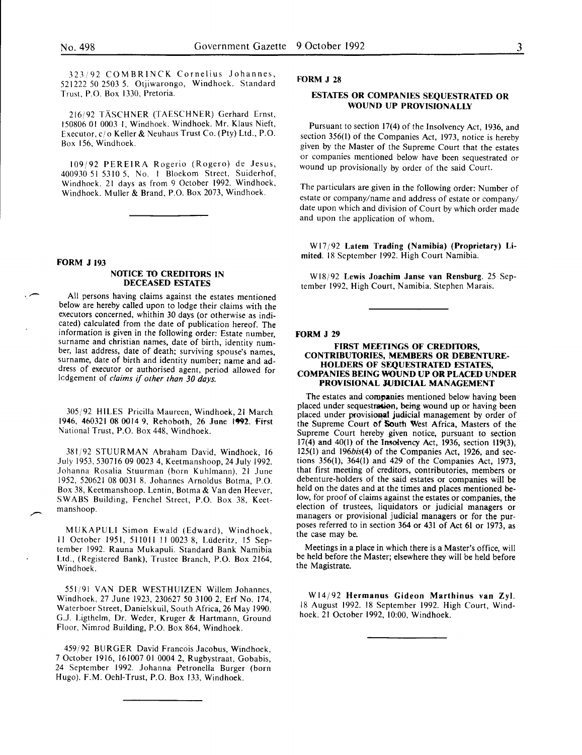323 92 COMBRINCK Cornelius Johannes, 521222 50 2503 5. Otjiwarongo, Windhoek. Standard Trust, P.O. Box 1330, Pretoria.

216192 TASCHNER (TAESCHNER) Gerhard Ernst, 150806 01 0003 1. Windhoek. Windhoek. Mr. Klaus Nieft, Executor, *cl* o Keller & Neuhaus Trust Co. (Pty) Ltd., P.O. Box 156, Windhoek.

109192 PEREIRA Rogerio (Rogero) de Jesus, 400930 51 5310 5, No. l Bloekom Street, Suiderhof, Windhoek. 21 days as from 9 October 1992. Windhoek, Windhoek. Muller & Brand, P.O. Box 2073, Windhoek.

#### FORM J 193

 $\overline{\phantom{a}}$ 

#### NOTICE TO CREDITORS IN DECEASED ESTATES

All persons having claims against the estates mentioned below are hereby called upon to lodge their claims with the executors concerned, whithin 30 days (or otherwise as indicated) calculated from the date of publication hereof. The information is given in the following order: Estate number, surname and christian names, date of birth, identity number, last address, date of death; surviving spouse's names, surname, date of birth and identity number; name and address of executor or authorised agent, period allowed for lcdgement of *claims* if *other than 30 days.* 

305/92 HILES Pricilla Maureen, Windhoek, 21 March 1946, 460321 08 0014 9, Rehoboth, 26 June 1992. First National Trust, P.O. Box 448, Windhoek.

381;92 STUURMAN Abraham David, Windhoek, 16 July 1953, 530716 09 0023 4, Keetmanshoop, 24 July 1992. Johanna Rosalia Stuurman (born Kuhlmann), 21 June 1952, 520621 08 0031 8. Johannes Arnoldus Botma, P.O. Box 38, Keetmanshoop. Lentin, Botma & Van den Heever, SWABS Building, Fenchel Street, P.O. Box 38, Keetmanshoop.

M U KAPULI Simon Ewald (Edward), Windhoek, II October 1951, 5110 II II 0023 8, Liideritz, 15 September 1992. Rauna Mukapuli. Standard Bank Namibia Ltd., (Registered Bank), Trustee Branch, P.O. Box 2164, Windhoek.

551/91 VAN DER WESTHUIZEN Willem Johannes, Windhoek, 27 June 1923, 230627 50 3100 2, Erf No. 174, Waterboer Street, Danielskuil, South Africa, 26 May 1990. G.J. Ligthelm, Dr. Weder, Kruger & Hartmann, Ground Floor, Nimrod Building, P.O. Box 864, Windhoek.

459192 BURGER David Francois Jacobus, Windhoek, 7 October 1916, 161007 01 0004 2, Rugbystraat, Gobabis, 24 September 1992. Johanna Petronella Burger (born Hugo). F.M. Oehl-Trust, P.O. Box 133, Windhoek.

# FORM J 28

#### ESTATES OR COMPANIES SEQUESTRATED OR WOUND UP PROVISIONALLY

Pursuant to section 17(4) of the Insolvency Act, 1936, and section 356(1) of the Companies Act, 1973, notice is hereby given by the Master of the Supreme Court that the estates or companies mentioned below have been sequestrated or wound up provisionally by order of the said Court.

The particulars are given in the following order: Number of estate or company/name and address of estate or company/ date upon which and division of Court by which order made and upon the application of whom.

W17/92 Latem Trading (Namibia) (Proprietary) Limited. 18 September 1992. High Court Namibia.

Wl8192 Lewis Joachim Janse van Rensburg. 25 September 1992, High Court, Namibia. Stephen Marais.

#### FORM J 29

#### FIRST MEETINGS OF CREDITORS, CONTRIBUTORIES, MEMBERS OR DEBENTURE-HOLDERS OF SEQUESTRATED ESTATES, COMPANIES BEING WOUND UP OR PLACED UNDER PROVISIONAL JUDICIAL MANAGEMENT

The estates and companies mentioned below having been placed under sequestration, being wound up or having been placed under provisional judicial management by order of the Supreme Court of South West Africa, Masters of the Supreme Court hereby given notice, pursuant to section 17(4) and 40(1) of the Imolvency Act, 1936, section 119(3), 125(1) and 196bis(4) of the Companies Act, 1926, and sections 356(1), 364(1) and 429 of the Companies Act, 1973, that first meeting of creditors, contributories, members or debenture-holders of the said estates or companies will be held on the dates and at the times and places mentioned below, for proof of claims against the estates or companies, the election of trustees, liquidators or judicial managers or managers or provisional judicial managers or for the purposes referred to in section 364 or 431 of Act 61 or 1973, as the case may be.

Meetings in a place in which there is a Master's office, will be held before the Master; elsewhere they will be held before the Magistrate.

W14/92 Hermanus Gideon Marthinus van Zyl. 18 August 1992. 18 September 1992. High Court, Windhoek. 21 October 1992, 10:00, Windhoek.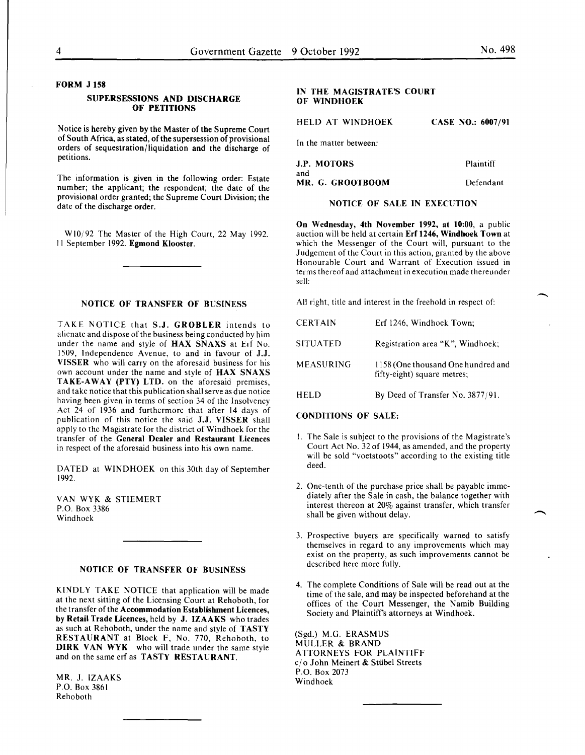# FORM J 158

#### SUPERSESSIONS AND DISCHARGE OF PETITIONS

Notice is hereby given by the Master of the Supreme Court of South Africa, as stated, of the supersession of provisional orders of sequestration/liquidation and the discharge of petitions.

The information is given in the following order: Estate number; the applicant; the respondent; the date of the provisional order granted; the Supreme Court Division; the date of the discharge order.

WI0/92 The Master of the High Court, 22 May 1992. II September 1992. Egmond Klooster.

#### NOTICE OF TRANSFER OF BUSINESS

TAKE NOTICE that S.J. GROBLER intends to alienate and dispose of the business being conducted by him under the name and style of HAX SNAXS at Erf No. 1509, Independence Avenue, to and in favour of J.J. VISSER who will carry on the aforesaid business for his own account under the name and style of HAX SNAXS TAKE-AWAY (PTY) LTD. on the aforesaid premises, and take notice that this publication shall serve as due notice having been given in terms of section 34 of the Insolvency Act 24 of 1936 and furthermore that after 14 days of publication of this notice the said J.J. VISSER shall apply to the Magistrate for the district of Windhoek for the transfer of the General Dealer and Restaurant Licences in respect of the aforesaid business into his own name.

DATED at WINDHOEK on this 30th day of September 1992.

VAN WYK & STIEMERT P.O. Box 3386 Windhoek

#### NOTICE OF TRANSFER OF BUSINESS

KINDLY TAKE NOTICE that application will be made at the next sitting of the Licensing Court at Rehoboth, for the transfer of the Accommodation Establishment Licences, by Retail Trade Licences, held by J. IZAAKS who trades as such at Rehoboth, under the name and style of TASTY RESTAURANT at Block F, No. 770, Rehoboth, to DIRK VAN WYK who will trade under the same style and on the same erf as TASTY RESTAURANT.

MR. J. IZAAKS P.O. Box 3861 Rehoboth

# IN THE MAGISTRATE'S COURT OF WINDHOEK

HELD AT WINDHOEK CASE NO.: 6007/91

In the matter between:

| <b>J.P. MOTORS</b> | Plaintiff |
|--------------------|-----------|
| and                |           |
| MR. G. GROOTBOOM   | Defendant |

# NOTICE OF SALE IN EXECUTION

On Wednesday, 4th November 1992, at 10:00, a public auction will be held at certain Erf 1246, Windhoek Town at which the Messenger of the Court will, pursuant to the Judgement of the Court in this action, granted by the above Honourable Court and Warrant of Execution issued in terms thereof and attachment in execution made thereunder sell:

All right, title and interest in the freehold in respect of:

| <b>CERTAIN</b>   | Erf 1246, Windhoek Town;                                          |
|------------------|-------------------------------------------------------------------|
| <b>SITUATED</b>  | Registration area "K", Windhoek;                                  |
| <b>MEASURING</b> | 1158 (One thousand One hundred and<br>fifty-eight) square metres; |
| HELD             | By Deed of Transfer No. $3877/91$ .                               |

#### CONDITIONS OF SALE:

- I. The Sale is subject to the provisions of the Magistrate's Court Act No. 32 of 1944, as amended, and the property will be sold "voetstoots" according to the existing title deed.
- 2. One-tenth of the purchase price shall be payable immediately after the Sale in cash, the balance together with interest thereon at 20% against transfer, which transfer shall be given without delay.
- 3. Prospective buyers are specifically warned to satisfy themselves in regard to any improvements which may exist on the property, as such improvements cannot be described here more fully.
- 4. The complete Conditions of Sale will be read out at the time of the sale, and may be inspected beforehand at the offices of the Court Messenger, the Namib Building Society and Plaintiffs attorneys at Windhoek.

(Sgd.) M.G. ERASMUS MULLER & BRAND ATTORNEYS FOR PLAINTIFF c/o John Meinert & Stiibel Streets P.O. Box 2073 Windhoek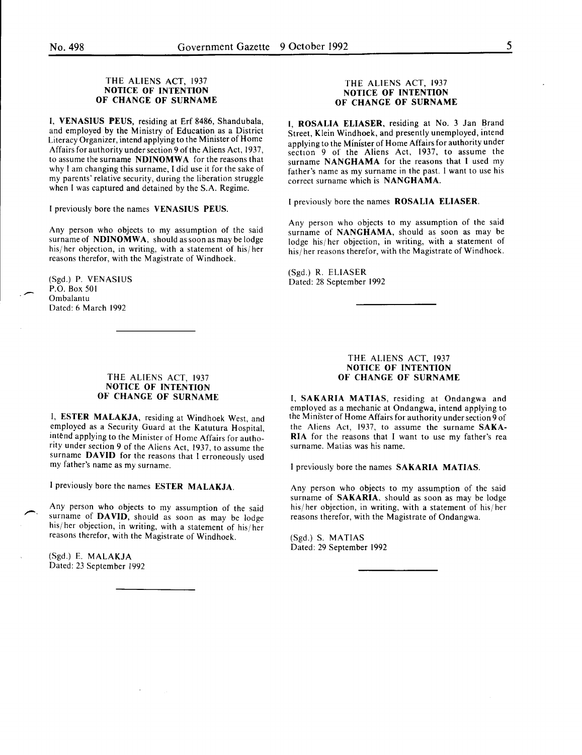#### THE ALIENS ACT, 1937 NOTICE OF INTENTION OF CHANGE OF SURNAME

I, VENASIUS PEUS, residing at Erf 8486, Shandubala, and employed by the Ministry of Education as a District Literacy Organizer, intend applying to the Minister of Home Affairs for authority under section 9 of the Aliens Act, 1937, to assume the surname NDINOMWA for the reasons that why I am changing this surname, I did use it for the sake of my parents' relative security, during the liberation struggle when I was captured and detained by the S.A. Regime.

I previously bore the names VENASIUS PEUS.

Any person who objects to my assumption of the said surname of NDINOMWA, should as soon as may be lodge his/ her objection, in writing, with a statement of his/ her reasons therefor, with the Magistrate of Windhoek.

(Sgd.) P. VENASIUS P.O. Box 501 Ombalantu Dated: 6 March 1992

#### THE ALIENS ACT, 1937 NOTICE OF INTENTION OF CHANGE OF SURNAME

I, ESTER MALAKJA, residing at Windhoek West, and employed as a Security Guard at the Katutura Hospital, intend applying to the Minister of Home Affairs for authority under section 9 of the Aliens Act, 1937, to assume the surname DAVID for the reasons that I erroneously used my father's name as my surname.

I previously bore the names ESTER MALAKJA.

Any person who objects to my assumption of the said surname of DAVID, should as soon as may be lodge his/ her objection, in writing, with a statement of his/ her reasons therefor, with the Magistrate of Windhoek.

(Sgd.) E. MALAKJA Dated: 23 September 1992

#### THE ALIENS ACT, 1937 NOTICE OF INTENTION OF CHANGE OF SURNAME

I ROSALIA ELIASER, residing at No. 3 Jan Brand Street, Klein Windhoek, and presently unemployed, intend applying to the Minister of Horne Affairs for authority under section 9 of the Aliens Act, 1937, to assume the surname NANGHAMA for the reasons that I used my father's name as my surname in the past. I want to use his correct surname which is NANGHAMA.

I previously bore the names ROSALIA ELIASER.

Any person who objects to my assumption of the said surname of NANGHAMA, should as soon as may be lodge his/her objection, in writing, with a statement of his/ her reasons therefor, with the Magistrate of Windhoek.

(Sgd.) R. ELIASER Dated: 28 September 1992

#### THE ALIENS ACT, 1937 NOTICE OF INTENTION OF CHANGE OF SURNAME

I, SAKARIA MATIAS, residing at Ondangwa and employed as a mechanic at Ondangwa, intend applying to the Minister of Home Affairs for authority under section 9 of the Aliens Act, 1937, to assume the surname SAKA-RIA for the reasons that I want to use my father's rea surname. Matias was his name.

I previously bore the names SAKARIA MATIAS.

Any person who objects to my assumption of the said surname of SAKARIA. should as soon as may be lodge his/ her objection, in writing, with a statement of his/ her reasons therefor, with the Magistrate of Ondangwa.

(Sgd.) S. MATIAS Dated: 29 September 1992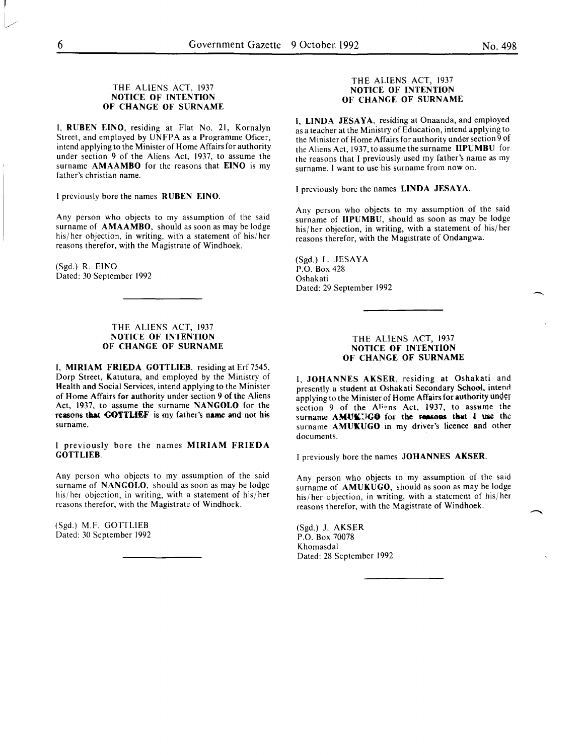#### THE ALIENS ACT, 1937 NOTICE OF INTENTION OF CHANGE OF SURNAME

I, RUBEN EINO, residing at Flat No. 21, Kornalyn Street, and employed by UNFPA as a Programme Oficer, intend applying to the Minister of Home Affairs for authority under section 9 of the Aliens Act, 1937, to assume the surname AMAAMBO for the reasons that EINO is my father's christian name.

I previously bore the names RUBEN EINO.

Any person who objects to my assumption of the said surname of AMAAMBO, should as soon as may be lodge his/ her objection, in writing, with a statement of his/ her reasons therefor, with the Magistrate of Windhoek.

(Sgd.) R. EINO Dated: 30 September 1992

#### THE ALIENS ACT, 1937 NOTICE OF INTENTION OF CHANGE OF SURNAME

I, MIRIAM FRIEDA GOTTLIEB, residing at Erf 7545, Dorp Street, Katutura, and employed by the Ministry of Health and Social Services, intend applying to the Minister of Horne Affairs for authority under section 9 of the Aliens Act, 1937, to assume the surname NANGOLO for the reasons that **GOTTLIEF** is my father's name and not his surname.

I previously bore the names MIRIAM FRIEDA GOTTLIEB.

Any person who objects to my assumption of the said surname of NANGOLO, should as soon as may be lodge his/ her objection, in writing, with a statement of his/ her reasons therefor, with the Magistrate of Windhoek.

(Sgd.) M.F. GOTTLIEB Dated: 30 September 1992

#### THE ALIENS ACT, 1937 NOTICE OF INTENTION OF CHANGE OF SURNAME

I, LINDA JESAYA, residing at Onaanda, and employed as a teacher at the Ministry of Education, intend applying to the Minister of Home Affairs for authority under section 9 of the Aliens Act, 1937, to assume the surname IIPUMBU for the reasons that I previously used my father's name as my surname. I want to use his surname from now on.

I previously bore the names LINDA JESAYA.

Any person who objects to my assumption of the said surname of IIPUMBU, should as soon as may be lodge his/ her objection, in writing, with a statement of his/ her reasons therefor, with the Magistrate of Ondangwa.

(Sgd.) L. JESAYA P.O. Box 428 Oshakati Dated: 29 September 1992

#### THE ALIENS ACT, 1937 NOTICE OF INTENTION OF CHANGE OF SURNAME

I, JOHANNES AKSER, residing at Oshakati and presently a student at Oshakati Secondary School, intend applying to the Minister of Home Affairs for authority under section 9 of the Aliens Act, 1937, to assume the surname AMUKUGO for the reasons that I use the surname AMUKUGO in my driver's licence and other documents.

I previously bore the names JOHANNES AKSER.

Any person who objects to my assumption of the said surname of **AMUKUGO**, should as soon as may be lodge his/ her objection, in writing, with a statement of his/ her reasons therefor, with the Magistrate of Windhoek.

(Sgd.) J. AKSER P.O. Box 70078 Khomasdal Dated: 28 September 1992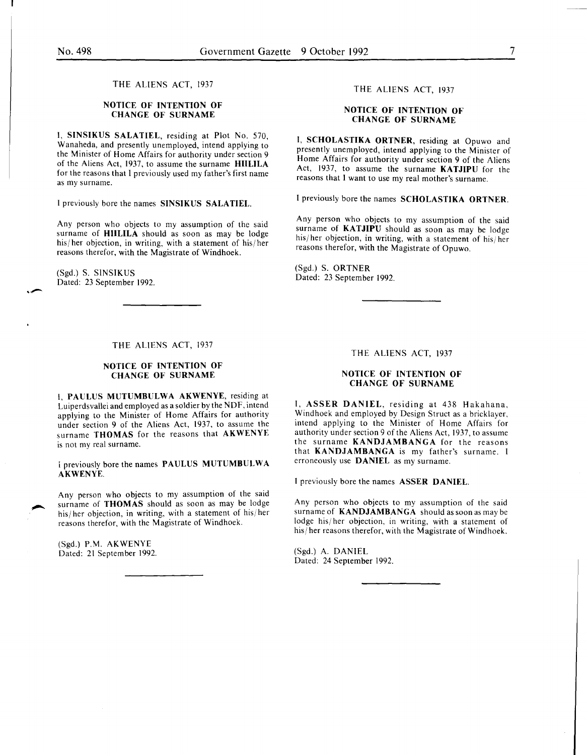THE ALIENS ACT, 1937

### NOTICE OF INTENTION OF CHANGE OF SURNAME

I, SINSIKUS SALATIEL, residing at Plot No. 570, Wanaheda, and presently unemployed, intend applying to the Minister of Home Affairs for authority under section 9 of the Aliens Act, 1937, to assume the surname HIILILA for the reasons that I previously used my father's first name as my surname.

I previously bore the names SINSIKUS SALATIEL.

Any person who objects to my assumption of the said surname of **HIILILA** should as soon as may be lodge his/her objection, in writing, with a statement of his/her reasons therefor, with the Magistrate of Windhoek.

(Sgd.) S. SINSIKUS Dated: 23 September 1992.

#### THE ALIENS ACT, 1937

# NOTICE OF INTENTION OF CHANGE OF SURNAME

I, PAULUS MUTUMBULWA AKWENYE, residing at Luiperdsvallei and employed as a soldier by the NDF, intend applying to the Minister of Home Affairs for authority under section 9 of the Aliens Act, 1937, to assume the surname THOMAS for the reasons that AKWENYE is not my real surname.

I previously bore the names PAULUS MUTUMBULWA AKWENYE.

Any person who objects to my assumption of the said surname of THOMAS should as soon as may be lodge his/her objection, in writing, with a statement of his/her reasons therefor, with the Magistrate of Windhoek.

(Sgd.) P.M. AKWENYE Dated: 21 September 1992.

#### THE ALIENS ACT, 1937

#### NOTICE OF INTENTION OF CHANGE OF SURNAME

I, SCHOLASTIKA ORTNER, residing at Opuwo and presently unemployed, intend applying to the Minister of Home Affairs for authority under section 9 of the Aliens Act, 1937, to assume the surname KATJIPU for the reasons that I want to use my real mother's surname.

I previously bore the names SCHOLASTIKA ORTNER.

Any person who objects to my assumption of the said surname of KATJIPU should as soon as may be lodge his/her objection, in writing, with a statement of his/her reasons therefor, with the Magistrate of Opuwo.

(Sgd.) S. ORTNER Dated: 23 September 1992.

#### THE ALIENS ACT, 1937

#### NOTICE OF INTENTION OF CHANGE OF SURNAME

I, ASSER DANIEL, residing at 438 Hakahana, Windhoek and employed by Design Struct as a bricklayer, mtend applymg to the Minister of Home Affairs for authority under section 9 of the Aliens Act, 1937, to assume the surname KANDJAMBANGA for the reasons that KANDJAMBANGA is my father's surname. I erroneously use DANIEL as my surname.

I previously bore the names ASSER DANIEL.

Any person who objects to my assumption of the said surname of KANDJAMBANGA should as soon as may be lodge his/her objection, in writing, with a statement of his/ her reasons therefor, with the Magistrate of Windhoek.

(Sgd.) A. DANIEL Dated: 24 September 1992.